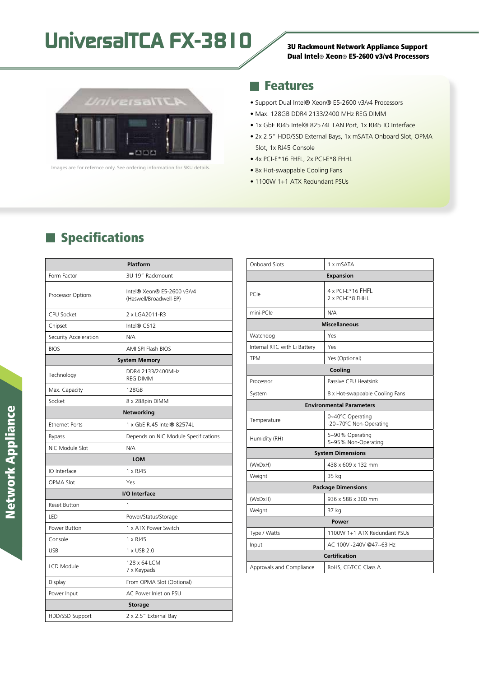# UniversalTCA FX-3810 3U Rackmount Network Appliance Support



lmages are for refernce only. See ordering information for SKU details.

## Dual Intel® Xeon® E5-2600 v3/v4 Processors

### **Features**

- Support Dual Intel® Xeon® E5-2600 v3/v4 Processors
- Max. 128GB DDR4 2133/2400 MHz REG DIMM
- 1x GbE RJ45 Intel® 82574L LAN Port, 1x RJ45 IO Interface
- 2x 2.5" HDD/SSD External Bays, 1x mSATA Onboard Slot, OPMA Slot, 1x RJ45 Console
- 4x PCI-E\*16 FHFL, 2x PCI-E\*8 FHHL
- 8x Hot-swappable Cooling Fans
- 1100W 1+1 ATX Redundant PSUs

## **Specifications**

| <b>Platform</b>       |                                                      |  |
|-----------------------|------------------------------------------------------|--|
| Form Factor           | 3U 19" Rackmount                                     |  |
| Processor Options     | Intel® Xeon® E5-2600 v3/v4<br>(Haswell/Broadwell-EP) |  |
| <b>CPU Socket</b>     | 2 x LGA2011-R3                                       |  |
| Chipset               | Intel® C612                                          |  |
| Security Acceleration | N/A                                                  |  |
| <b>BIOS</b>           | AMI SPI Flash BIOS                                   |  |
| <b>System Memory</b>  |                                                      |  |
| Technology            | DDR4 2133/2400MHz<br><b>REG DIMM</b>                 |  |
| Max. Capacity         | 128GB                                                |  |
| Socket                | 8 x 288pin DIMM                                      |  |
| <b>Networking</b>     |                                                      |  |
| <b>Ethernet Ports</b> | 1 x GbE RJ45 Intel® 82574L                           |  |
| <b>Bypass</b>         | Depends on NIC Module Specifications                 |  |
| NIC Module Slot       | N/A                                                  |  |
| <b>LOM</b>            |                                                      |  |
| IO Interface          | $1 \times R$ J $45$                                  |  |
| <b>OPMA Slot</b>      | Yes                                                  |  |
| I/O Interface         |                                                      |  |
| <b>Reset Button</b>   | 1                                                    |  |
| LED                   | Power/Status/Storage                                 |  |
| Power Button          | 1 x ATX Power Switch                                 |  |
| Console               | 1 x RJ45                                             |  |
| <b>USB</b>            | 1 x USB 2.0                                          |  |
| LCD Module            | 128 x 64 LCM<br>7 x Keypads                          |  |
| Display               | From OPMA Slot (Optional)                            |  |
| Power Input           | AC Power Inlet on PSU                                |  |
| <b>Storage</b>        |                                                      |  |
| HDD/SSD Support       | 2 x 2.5" External Bay                                |  |

| <b>Onboard Slots</b>            | 1 x mSATA                                  |  |
|---------------------------------|--------------------------------------------|--|
| <b>Expansion</b>                |                                            |  |
| PCIe                            | 4 x PCI-E*16 FHFL<br>2 x PCI-E*8 FHHL      |  |
| mini-PCle                       | N/A                                        |  |
| <b>Miscellaneous</b>            |                                            |  |
| Watchdog                        | Yes                                        |  |
| Internal RTC with Li Battery    | Yes                                        |  |
| <b>TPM</b>                      | Yes (Optional)                             |  |
| Cooling                         |                                            |  |
| Processor                       | Passive CPU Heatsink                       |  |
| System                          | 8 x Hot-swappable Cooling Fans             |  |
| <b>Environmental Parameters</b> |                                            |  |
| Temperature                     | 0~40°C Operating<br>-20~70°C Non-Operating |  |
| Humidity (RH)                   | 5~90% Operating<br>5~95% Non-Operating     |  |
| <b>System Dimensions</b>        |                                            |  |
| (WxDxH)                         | 438 x 609 x 132 mm                         |  |
| Weight                          | 35 kg                                      |  |
| <b>Package Dimensions</b>       |                                            |  |
| (WxDxH)                         | 936 x 588 x 300 mm                         |  |
| Weight                          | 37 kg                                      |  |
| Power                           |                                            |  |
| Type / Watts                    | 1100W 1+1 ATX Redundant PSUs               |  |
| Input                           | AC 100V~240V @47~63 Hz                     |  |
| <b>Certification</b>            |                                            |  |
| Approvals and Compliance        | RoHS, CE/FCC Class A                       |  |